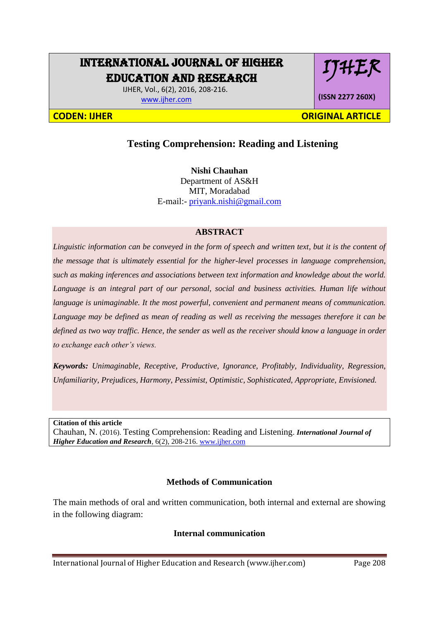# INTERNATIONAL JOURNAL OF HIGHER EDUCATION AND RESEARCH

 IJHER, Vol., 6(2), 2016, 208-216. [www.ijher.com](http://www.ijher.com/)

**(ISSN 2277 260X)**

IJHER

**CODEN: IJHER ORIGINAL ARTICLE** 

# **Testing Comprehension: Reading and Listening**

**Nishi Chauhan** Department of AS&H MIT, Moradabad E-mail:- [priyank.nishi@gmail.com](mailto:priyank.nishi@gmail.com)

## **ABSTRACT**

*Linguistic information can be conveyed in the form of speech and written text, but it is the content of the message that is ultimately essential for the higher-level processes in language comprehension, such as making inferences and associations between text information and knowledge about the world. Language is an integral part of our personal, social and business activities. Human life without language is unimaginable. It the most powerful, convenient and permanent means of communication. Language may be defined as mean of reading as well as receiving the messages therefore it can be defined as two way traffic. Hence, the sender as well as the receiver should know a language in order to exchange each other's views.*

*Keywords: Unimaginable, Receptive, Productive, Ignorance, Profitably, Individuality, Regression, Unfamiliarity, Prejudices, Harmony, Pessimist, Optimistic, Sophisticated, Appropriate, Envisioned.*

**Citation of this article**

Chauhan, N. (2016). Testing Comprehension: Reading and Listening. *International Journal of Higher Education and Research*, 6(2), 208-216[. www.ijher.com](http://www.ijher.com/)

#### **Methods of Communication**

The main methods of oral and written communication, both internal and external are showing in the following diagram:

#### **Internal communication**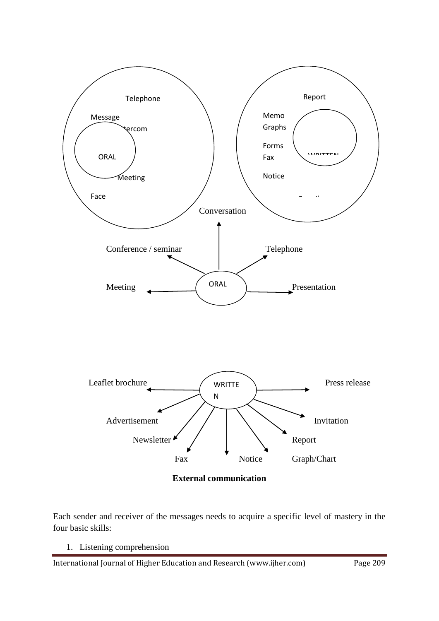

Each sender and receiver of the messages needs to acquire a specific level of mastery in the four basic skills:

1. Listening comprehension

International Journal of Higher Education and Research (www.ijher.com) Page 209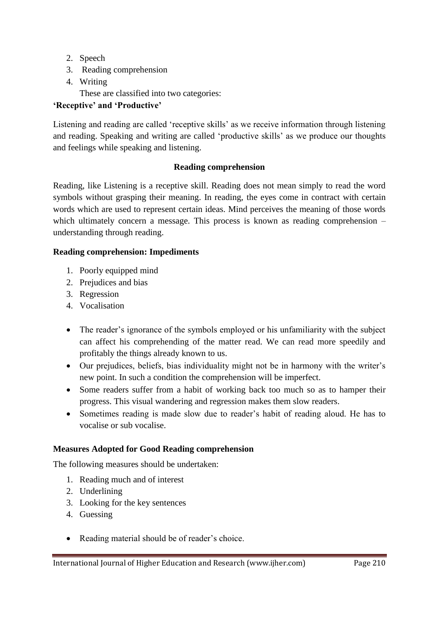- 2. Speech
- 3. Reading comprehension
- 4. Writing These are classified into two categories:

## **'Receptive' and 'Productive'**

Listening and reading are called 'receptive skills' as we receive information through listening and reading. Speaking and writing are called 'productive skills' as we produce our thoughts and feelings while speaking and listening.

## **Reading comprehension**

Reading, like Listening is a receptive skill. Reading does not mean simply to read the word symbols without grasping their meaning. In reading, the eyes come in contract with certain words which are used to represent certain ideas. Mind perceives the meaning of those words which ultimately concern a message. This process is known as reading comprehension – understanding through reading.

## **Reading comprehension: Impediments**

- 1. Poorly equipped mind
- 2. Prejudices and bias
- 3. Regression
- 4. Vocalisation
- The reader's ignorance of the symbols employed or his unfamiliarity with the subject can affect his comprehending of the matter read. We can read more speedily and profitably the things already known to us.
- Our prejudices, beliefs, bias individuality might not be in harmony with the writer's new point. In such a condition the comprehension will be imperfect.
- Some readers suffer from a habit of working back too much so as to hamper their progress. This visual wandering and regression makes them slow readers.
- Sometimes reading is made slow due to reader's habit of reading aloud. He has to vocalise or sub vocalise.

## **Measures Adopted for Good Reading comprehension**

The following measures should be undertaken:

- 1. Reading much and of interest
- 2. Underlining
- 3. Looking for the key sentences
- 4. Guessing
- Reading material should be of reader's choice.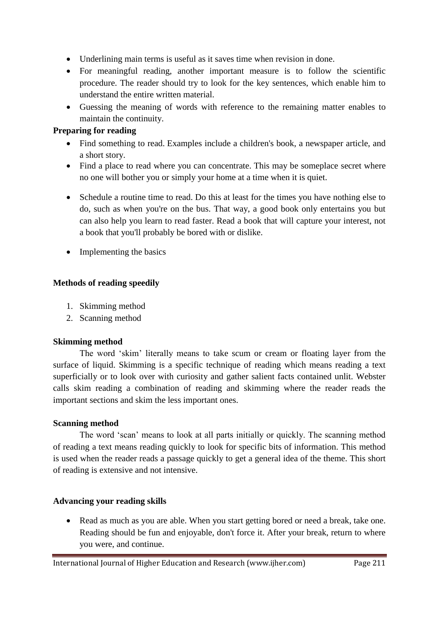- Underlining main terms is useful as it saves time when revision in done.
- For meaningful reading, another important measure is to follow the scientific procedure. The reader should try to look for the key sentences, which enable him to understand the entire written material.
- Guessing the meaning of words with reference to the remaining matter enables to maintain the continuity.

## **Preparing for reading**

- Find something to read. Examples include a children's book, a newspaper article, and a short story.
- Find a place to read where you can concentrate. This may be someplace secret where no one will bother you or simply your home at a time when it is quiet.
- Schedule a routine time to read. Do this at least for the times you have nothing else to do, such as when you're on the bus. That way, a good book only entertains you but can also help you learn to read faster. Read a book that will capture your interest, not a book that you'll probably be bored with or dislike.
- Implementing the basics

## **Methods of reading speedily**

- 1. Skimming method
- 2. Scanning method

## **Skimming method**

The word 'skim' literally means to take scum or cream or floating layer from the surface of liquid. Skimming is a specific technique of reading which means reading a text superficially or to look over with curiosity and gather salient facts contained unlit. Webster calls skim reading a combination of reading and skimming where the reader reads the important sections and skim the less important ones.

## **Scanning method**

The word 'scan' means to look at all parts initially or quickly. The scanning method of reading a text means reading quickly to look for specific bits of information. This method is used when the reader reads a passage quickly to get a general idea of the theme. This short of reading is extensive and not intensive.

## **Advancing your reading skills**

• Read as much as you are able. When you start getting bored or need a break, take one. Reading should be fun and enjoyable, don't force it. After your break, return to where you were, and continue.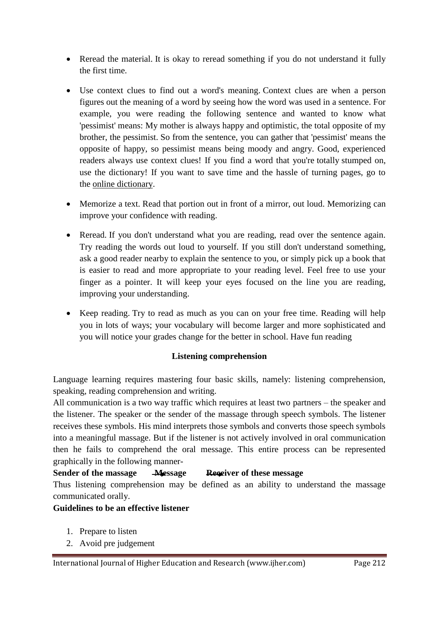- Reread the material. It is okay to reread something if you do not understand it fully the first time.
- Use context clues to find out a word's meaning. Context clues are when a person figures out the meaning of a word by seeing how the word was used in a sentence. For example, you were reading the following sentence and wanted to know what 'pessimist' means: My mother is always happy and optimistic, the total opposite of my brother, the pessimist. So from the sentence, you can gather that 'pessimist' means the opposite of happy, so pessimist means being moody and angry. Good, experienced readers always use context clues! If you find a word that you're totally stumped on, use the dictionary! If you want to save time and the hassle of turning pages, go to the [online dictionary.](http://dictionary.com/)
- Memorize a text. Read that portion out in front of a mirror, out loud. Memorizing can improve your confidence with reading.
- Reread. If you don't understand what you are reading, read over the sentence again. Try reading the words out loud to yourself. If you still don't understand something, ask a good reader nearby to explain the sentence to you, or simply pick up a book that is easier to read and more appropriate to your reading level. Feel free to use your finger as a pointer. It will keep your eyes focused on the line you are reading, improving your understanding.
- Keep reading. Try to read as much as you can on your free time. Reading will help you in lots of ways; your vocabulary will become larger and more sophisticated and you will notice your grades change for the better in school. Have fun reading

## **Listening comprehension**

Language learning requires mastering four basic skills, namely: listening comprehension, speaking, reading comprehension and writing.

All communication is a two way traffic which requires at least two partners – the speaker and the listener. The speaker or the sender of the massage through speech symbols. The listener receives these symbols. His mind interprets those symbols and converts those speech symbols into a meaningful massage. But if the listener is not actively involved in oral communication then he fails to comprehend the oral message. This entire process can be represented graphically in the following manner-

## **Sender of the massage Message Receiver of these message**

Thus listening comprehension may be defined as an ability to understand the massage communicated orally.

#### **Guidelines to be an effective listener**

- 1. Prepare to listen
- 2. Avoid pre judgement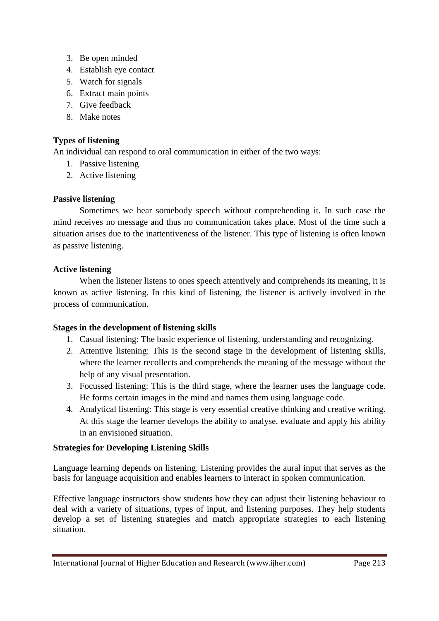- 3. Be open minded
- 4. Establish eye contact
- 5. Watch for signals
- 6. Extract main points
- 7. Give feedback
- 8. Make notes

## **Types of listening**

An individual can respond to oral communication in either of the two ways:

- 1. Passive listening
- 2. Active listening

## **Passive listening**

Sometimes we hear somebody speech without comprehending it. In such case the mind receives no message and thus no communication takes place. Most of the time such a situation arises due to the inattentiveness of the listener. This type of listening is often known as passive listening.

## **Active listening**

When the listener listens to ones speech attentively and comprehends its meaning, it is known as active listening. In this kind of listening, the listener is actively involved in the process of communication.

#### **Stages in the development of listening skills**

- 1. Casual listening: The basic experience of listening, understanding and recognizing.
- 2. Attentive listening: This is the second stage in the development of listening skills, where the learner recollects and comprehends the meaning of the message without the help of any visual presentation.
- 3. Focussed listening: This is the third stage, where the learner uses the language code. He forms certain images in the mind and names them using language code.
- 4. Analytical listening: This stage is very essential creative thinking and creative writing. At this stage the learner develops the ability to analyse, evaluate and apply his ability in an envisioned situation.

#### **Strategies for Developing Listening Skills**

Language learning depends on listening. Listening provides the aural input that serves as the basis for language acquisition and enables learners to interact in spoken communication.

Effective language instructors show students how they can adjust their listening behaviour to deal with a variety of situations, types of input, and listening purposes. They help students develop a set of listening strategies and match appropriate strategies to each listening situation.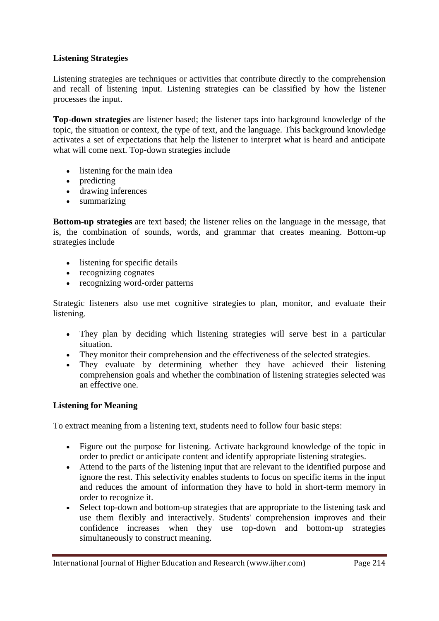## **Listening Strategies**

Listening strategies are techniques or activities that contribute directly to the comprehension and recall of listening input. Listening strategies can be classified by how the listener processes the input.

**Top-down strategies** are listener based; the listener taps into background knowledge of the topic, the situation or context, the type of text, and the language. This background knowledge activates a set of expectations that help the listener to interpret what is heard and anticipate what will come next. Top-down strategies include

- listening for the main idea
- predicting
- drawing inferences
- summarizing

**Bottom-up strategies** are text based; the listener relies on the language in the message, that is, the combination of sounds, words, and grammar that creates meaning. Bottom-up strategies include

- listening for specific details
- recognizing cognates
- recognizing word-order patterns

Strategic listeners also use met cognitive strategies to plan, monitor, and evaluate their listening.

- They plan by deciding which listening strategies will serve best in a particular situation.
- They monitor their comprehension and the effectiveness of the selected strategies.
- They evaluate by determining whether they have achieved their listening comprehension goals and whether the combination of listening strategies selected was an effective one.

#### **Listening for Meaning**

To extract meaning from a listening text, students need to follow four basic steps:

- Figure out the purpose for listening. Activate background knowledge of the topic in order to predict or anticipate content and identify appropriate listening strategies.
- Attend to the parts of the listening input that are relevant to the identified purpose and ignore the rest. This selectivity enables students to focus on specific items in the input and reduces the amount of information they have to hold in short-term memory in order to recognize it.
- Select top-down and bottom-up strategies that are appropriate to the listening task and use them flexibly and interactively. Students' comprehension improves and their confidence increases when they use top-down and bottom-up strategies simultaneously to construct meaning.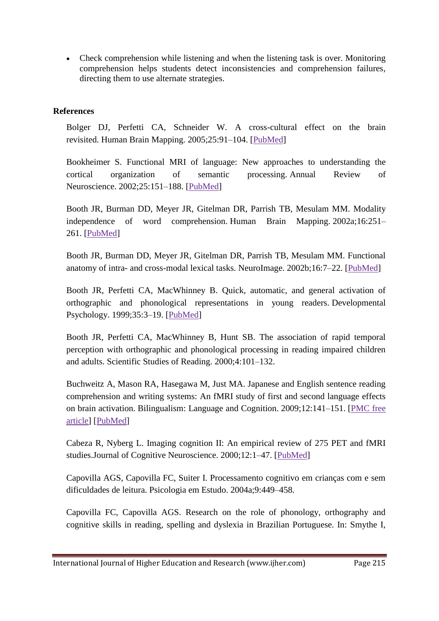Check comprehension while listening and when the listening task is over. Monitoring comprehension helps students detect inconsistencies and comprehension failures, directing them to use alternate strategies.

## **References**

Bolger DJ, Perfetti CA, Schneider W. A cross-cultural effect on the brain revisited. Human Brain Mapping. 2005;25:91–104. [\[PubMed\]](http://www.ncbi.nlm.nih.gov/pubmed/15846818)

Bookheimer S. Functional MRI of language: New approaches to understanding the cortical organization of semantic processing. Annual Review of Neuroscience. 2002;25:151–188. [\[PubMed\]](http://www.ncbi.nlm.nih.gov/pubmed/12052907)

Booth JR, Burman DD, Meyer JR, Gitelman DR, Parrish TB, Mesulam MM. Modality independence of word comprehension. Human Brain Mapping. 2002a;16:251– 261. [\[PubMed\]](http://www.ncbi.nlm.nih.gov/pubmed/12112766)

Booth JR, Burman DD, Meyer JR, Gitelman DR, Parrish TB, Mesulam MM. Functional anatomy of intra- and cross-modal lexical tasks. NeuroImage. 2002b;16:7–22. [\[PubMed\]](http://www.ncbi.nlm.nih.gov/pubmed/11969313)

Booth JR, Perfetti CA, MacWhinney B. Quick, automatic, and general activation of orthographic and phonological representations in young readers. Developmental Psychology. 1999;35:3–19. [\[PubMed\]](http://www.ncbi.nlm.nih.gov/pubmed/9923460)

Booth JR, Perfetti CA, MacWhinney B, Hunt SB. The association of rapid temporal perception with orthographic and phonological processing in reading impaired children and adults. Scientific Studies of Reading. 2000;4:101–132.

Buchweitz A, Mason RA, Hasegawa M, Just MA. Japanese and English sentence reading comprehension and writing systems: An fMRI study of first and second language effects on brain activation. Bilingualism: Language and Cognition. 2009;12:141–151. [\[PMC free](http://www.ncbi.nlm.nih.gov/pmc/articles/PMC2782536/)  [article\]](http://www.ncbi.nlm.nih.gov/pmc/articles/PMC2782536/) [\[PubMed\]](http://www.ncbi.nlm.nih.gov/pubmed/19946611)

Cabeza R, Nyberg L. Imaging cognition II: An empirical review of 275 PET and fMRI studies.Journal of Cognitive Neuroscience. 2000;12:1–47. [\[PubMed\]](http://www.ncbi.nlm.nih.gov/pubmed/10769304)

Capovilla AGS, Capovilla FC, Suiter I. Processamento cognitivo em crianças com e sem dificuldades de leitura. Psicologia em Estudo. 2004a;9:449–458.

Capovilla FC, Capovilla AGS. Research on the role of phonology, orthography and cognitive skills in reading, spelling and dyslexia in Brazilian Portuguese. In: Smythe I,